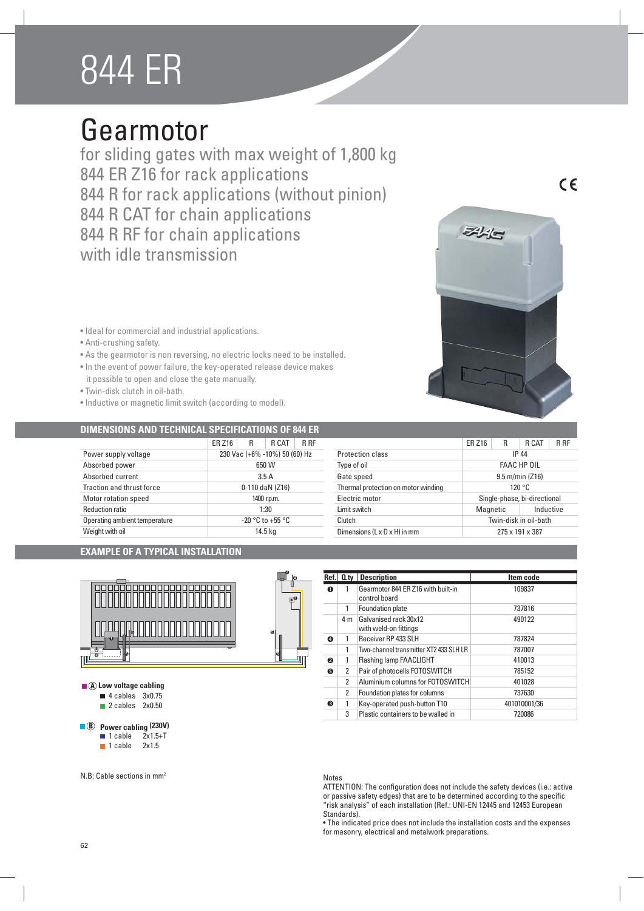# 844 ER

## Gearmotor

for sliding gates with max weight of 1,800 kg 844 ER Z16 for rack applications 844 R for rack applications (without pinion) 844 R CAT for chain applications 844 R RF for chain applications with idle transmission

- 
- Ideal for commercial and industrial applications
- Anti-crushing safety.
- As the gearmotor is non reversing, no electric locks need to be installed.
- In the event of power failure, the key-operated release device makes it possible to open and close the gate manually.
- · Twin-disk clutch in oil-bath.
- $\bullet$  Inductive or magnetic limit switch (according to model).

#### **DIMENSIONS AND TECHNICAL SPECIFICATIONS OF 844 ER**

|                               | <b>ER Z16</b>                 | R | R CAT | R RF |
|-------------------------------|-------------------------------|---|-------|------|
| Power supply voltage          | 230 Vac (+6% -10%) 50 (60) Hz |   |       |      |
| Absorbed power                | 650 W                         |   |       |      |
| Absorbed current              | 3.5A                          |   |       |      |
| Traction and thrust force     | 0-110 daN (Z16)               |   |       |      |
| Motor rotation speed          | 1400 r.p.m.                   |   |       |      |
| <b>Reduction ratio</b>        | 1:30                          |   |       |      |
| Operating ambient temperature | $-20$ °C to $+55$ °C          |   |       |      |
| Weight with oil               | 14.5 kg                       |   |       |      |

|  |  |  |  | EXAMPLE OF A TYPICAL INSTALLATION |
|--|--|--|--|-----------------------------------|
|--|--|--|--|-----------------------------------|



 $\blacksquare$  **A** Low voltage cabling

- $\blacksquare$  4 cables 3x0.75
- $\blacksquare$  2 cables 2x0.50

### **8** Power cabling (230V)

- $\blacksquare$  1 cable
- $\blacksquare$  1 cable 2x1.5

N.B: Cable sections in mm2



| Ref. | $Q_{\text{.}ty}$ | <b>Description</b>                                  | Item code    |
|------|------------------|-----------------------------------------------------|--------------|
| O    |                  | Gearmotor 844 ER Z16 with built-in<br>control board | 109837       |
|      |                  | Foundation plate                                    | 737816       |
|      | 4 m              | Galvanised rack 30x12<br>with weld-on fittings      | 490122       |
| Θ    |                  | Receiver RP 433 SLH                                 | 787824       |
|      | 1                | Two-channel transmitter XT2 433 SLH LR              | 787007       |
| ❷    |                  | Flashing lamp FAACLIGHT                             | 410013       |
| ❺    | 2                | Pair of photocells FOTOSWITCH                       | 785152       |
|      | $\mathfrak{p}$   | Aluminium columns for FOTOSWITCH                    | 401028       |
|      | 2                | Foundation plates for columns                       | 737630       |
| €    |                  | Key-operated push-button T10                        | 401010001/36 |
|      | 3                | Plastic containers to be walled in                  | 720086       |

Protection class IP 44 Type of oil **FAAC HP OIL** Gate speed 9.5 m/min (Z16) Thermal protection on motor winding 120 °C Electric motor Single-phase, bi-directional Limit switch **Magnetic** Community Community Magnetic Inductive Clutch Twin-disk in oil-bath Dimensions (L x D x H) in mm 275 x 191 x 387

#### Notes

ATTENTION: The configuration does not include the safety devices (i.e.: active or passive safety edges) that are to be determined according to the specific "risk analysis" of each installation (Ref.: UNI-EN 12445 and 12453 European Standards).

• The indicated price does not include the installation costs and the expenses for masonry, electrical and metalwork preparations.



 $\epsilon$ 

ER Z16 R R CAT R RF